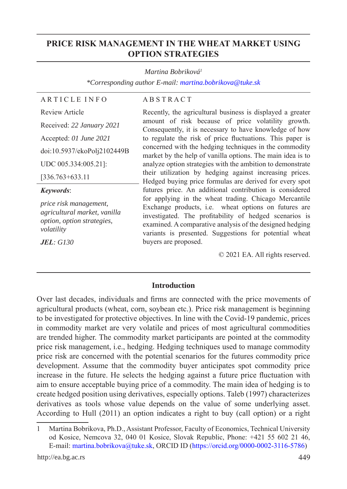# **PRICE RISK MANAGEMENT IN THE WHEAT MARKET USING OPTION STRATEGIES**

#### *Martina Bobriková1*

*\*Corresponding author E-mail: martina.bobrikova@tuke.sk*

# A R T I C L E I N F O

#### A B S T R A C T

Review Article

# Received: *22 January 2021* Accepted: *01 June 2021* doi:10.5937/ekoPolj2102449B

[336.763+633.11

UDC 005.334:005.21]:

#### *Keywords*:

*price risk management, agricultural market, vanilla option, option strategies, volatility*

*JEL: G130*

Recently, the agricultural business is displayed a greater amount of risk because of price volatility growth. Consequently, it is necessary to have knowledge of how to regulate the risk of price fluctuations. This paper is concerned with the hedging techniques in the commodity market by the help of vanilla options. The main idea is to analyze option strategies with the ambition to demonstrate their utilization by hedging against increasing prices. Hedged buying price formulas are derived for every spot futures price. An additional contribution is considered for applying in the wheat trading. Chicago Mercantile Exchange products, i.e. wheat options on futures are investigated. The profitability of hedged scenarios is examined. A comparative analysis of the designed hedging variants is presented. Suggestions for potential wheat buyers are proposed.

© 2021 EA. All rights reserved.

## **Introduction**

Over last decades, individuals and firms are connected with the price movements of agricultural products (wheat, corn, soybean etc.). Price risk management is beginning to be investigated for protective objectives. In line with the Covid-19 pandemic, prices in commodity market are very volatile and prices of most agricultural commodities are trended higher. The commodity market participants are pointed at the commodity price risk management, i.e., hedging. Hedging techniques used to manage commodity price risk are concerned with the potential scenarios for the futures commodity price development. Assume that the commodity buyer anticipates spot commodity price increase in the future. He selects the hedging against a future price fluctuation with aim to ensure acceptable buying price of a commodity. The main idea of hedging is to create hedged position using derivatives, especially options. Taleb (1997) characterizes derivatives as tools whose value depends on the value of some underlying asset. According to Hull (2011) an option indicates a right to buy (call option) or a right

http://ea.bg.ac.rs 449

<sup>1</sup> Martina Bobrikova, Ph.D., Assistant Professor, Faculty of Economics, Technical University od Kosice, Nemcova 32, 040 01 Kosice, Slovak Republic, Phone: +421 55 602 21 46, E-mail: martina.bobrikova@tuke.sk, ORCID ID (https://orcid.org/0000-0002-3116-5786)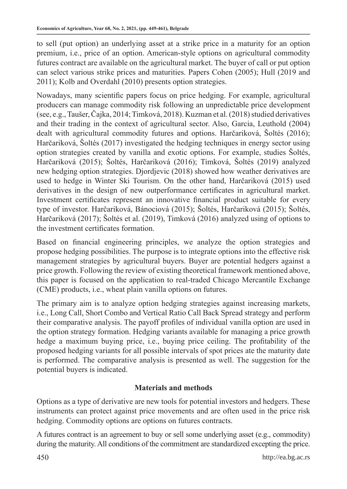to sell (put option) an underlying asset at a strike price in a maturity for an option premium, i.e., price of an option. American-style options on agricultural commodity futures contract are available on the agricultural market. The buyer of call or put option can select various strike prices and maturities. Papers Cohen (2005); Hull (2019 and 2011); Kolb and Overdahl (2010) presents option strategies.

Nowadays, many scientific papers focus on price hedging. For example, agricultural producers can manage commodity risk following an unpredictable price development (see, e.g., Taušer, Čajka, 2014; Timková, 2018). Kuzman et al. (2018) studied derivatives and their trading in the context of agricultural sector. Also, Garcia, Leuthold (2004) dealt with agricultural commodity futures and options. Harčariková, Šoltés (2016); Harčariková, Šoltés (2017) investigated the hedging techniques in energy sector using option strategies created by vanilla and exotic options. For example, studies Šoltés, Harčariková (2015); Šoltés, Harčariková (2016); Timková, Šoltés (2019) analyzed new hedging option strategies. Djordjevic (2018) showed how weather derivatives are used to hedge in Winter Ski Tourism. On the other hand, Harčariková (2015) used derivatives in the design of new outperformance certificates in agricultural market. Investment certificates represent an innovative financial product suitable for every type of investor. Harčariková, Bánociová (2015); Šoltés, Harčariková (2015); Šoltés, Harčariková (2017); Šoltés et al. (2019), Timková (2016) analyzed using of options to the investment certificates formation.

Based on financial engineering principles, we analyze the option strategies and propose hedging possibilities. The purpose is to integrate options into the effective risk management strategies by agricultural buyers. Buyer are potential hedgers against a price growth. Following the review of existing theoretical framework mentioned above, this paper is focused on the application to real-traded Chicago Mercantile Exchange (CME) products, i.e., wheat plain vanilla options on futures.

The primary aim is to analyze option hedging strategies against increasing markets, i.e., Long Call, Short Combo and Vertical Ratio Call Back Spread strategy and perform their comparative analysis. The payoff profiles of individual vanilla option are used in the option strategy formation. Hedging variants available for managing a price growth hedge a maximum buying price, i.e., buying price ceiling. The profitability of the proposed hedging variants for all possible intervals of spot prices ate the maturity date is performed. The comparative analysis is presented as well. The suggestion for the potential buyers is indicated.

# **Materials and methods**

Options as a type of derivative are new tools for potential investors and hedgers. These instruments can protect against price movements and are often used in the price risk hedging. Commodity options are options on futures contracts.

A futures contract is an agreement to buy or sell some underlying asset (e.g., commodity) during the maturity. All conditions of the commitment are standardized excepting the price.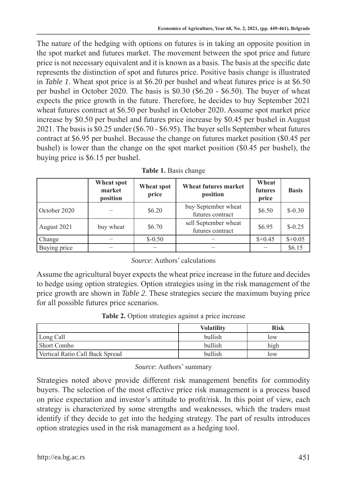The nature of the hedging with options on futures is in taking an opposite position in the spot market and futures market. The movement between the spot price and future price is not necessary equivalent and it is known as a basis. The basis at the specific date represents the distinction of spot and futures price. Positive basis change is illustrated in *Table 1*. Wheat spot price is at \$6.20 per bushel and wheat futures price is at \$6.50 per bushel in October 2020. The basis is \$0.30 (\$6.20 - \$6.50). The buyer of wheat expects the price growth in the future. Therefore, he decides to buy September 2021 wheat futures contract at \$6.50 per bushel in October 2020. Assume spot market price increase by \$0.50 per bushel and futures price increase by \$0.45 per bushel in August 2021. The basis is \$0.25 under (\$6.70 - \$6.95). The buyer sells September wheat futures contract at \$6.95 per bushel. Because the change on futures market position (\$0.45 per bushel) is lower than the change on the spot market position (\$0.45 per bushel), the buying price is \$6.15 per bushel.

|              | Wheat spot<br>market<br>position | Wheat spot<br>price | <b>Wheat futures market</b><br>position  | Wheat<br>futures<br>price | <b>Basis</b> |
|--------------|----------------------------------|---------------------|------------------------------------------|---------------------------|--------------|
| October 2020 |                                  | \$6.20              | buy September wheat<br>futures contract  | \$6.50                    | $$-0.30$     |
| August 2021  | buy wheat                        | \$6.70              | sell September wheat<br>futures contract | \$6.95                    | $$-0.25$     |
| Change       |                                  | $$-0.50$            | -                                        | $$+0.45$                  | $$+0.05$     |
| Buying price |                                  |                     |                                          |                           | \$6.15       |

| Table 1. Basis change |  |  |
|-----------------------|--|--|
|-----------------------|--|--|

## *Source*: Authors' calculations

Assume the agricultural buyer expects the wheat price increase in the future and decides to hedge using option strategies. Option strategies using in the risk management of the price growth are shown in *Table 2*. These strategies secure the maximum buying price for all possible futures price scenarios.

**Table 2.** Option strategies against a price increase

|                                 | <b>Volatility</b> | <b>Risk</b> |
|---------------------------------|-------------------|-------------|
| Long Call                       | bullish           | low         |
| Short Combo                     | bullish           | high        |
| Vertical Ratio Call Back Spread | bullish           | low         |

## *Source*: Authors' summary

Strategies noted above provide different risk management benefits for commodity buyers. The selection of the most effective price risk management is a process based on price expectation and investor's attitude to profit/risk. In this point of view, each strategy is characterized by some strengths and weaknesses, which the traders must identify if they decide to get into the hedging strategy. The part of results introduces option strategies used in the risk management as a hedging tool.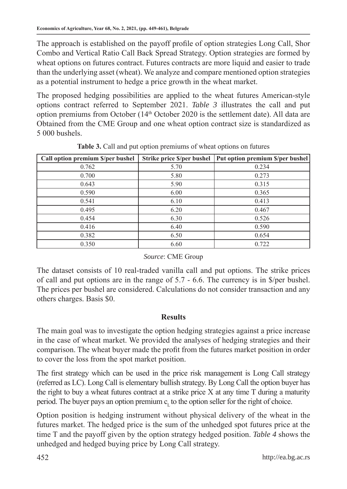The approach is established on the payoff profile of option strategies Long Call, Shor Combo and Vertical Ratio Call Back Spread Strategy. Option strategies are formed by wheat options on futures contract. Futures contracts are more liquid and easier to trade than the underlying asset (wheat). We analyze and compare mentioned option strategies as a potential instrument to hedge a price growth in the wheat market.

The proposed hedging possibilities are applied to the wheat futures American-style options contract referred to September 2021. *Table 3* illustrates the call and put option premiums from October (14th October 2020 is the settlement date). All data are Obtained from the CME Group and one wheat option contract size is standardized as 5 000 bushels.

| Call option premium \$/per bushel | Strike price \$/per bushel | Put option premium \$/per bushel |
|-----------------------------------|----------------------------|----------------------------------|
| 0.762                             | 5.70                       | 0.234                            |
| 0.700                             | 5.80                       | 0.273                            |
| 0.643                             | 5.90                       | 0.315                            |
| 0.590                             | 6.00                       | 0.365                            |
| 0.541                             | 6.10                       | 0.413                            |
| 0.495                             | 6.20                       | 0.467                            |
| 0.454                             | 6.30                       | 0.526                            |
| 0.416                             | 6.40                       | 0.590                            |
| 0.382                             | 6.50                       | 0.654                            |
| 0.350                             | 6.60                       | 0.722                            |

**Table 3.** Call and put option premiums of wheat options on futures

## *Source*: CME Group

The dataset consists of 10 real-traded vanilla call and put options. The strike prices of call and put options are in the range of 5.7 - 6.6. The currency is in \$/per bushel. The prices per bushel are considered. Calculations do not consider transaction and any others charges. Basis \$0.

## **Results**

The main goal was to investigate the option hedging strategies against a price increase in the case of wheat market. We provided the analyses of hedging strategies and their comparison. The wheat buyer made the profit from the futures market position in order to cover the loss from the spot market position.

The first strategy which can be used in the price risk management is Long Call strategy (referred as LC). Long Call is elementary bullish strategy. By Long Call the option buyer has the right to buy a wheat futures contract at a strike price  $X$  at any time  $T$  during a maturity period. The buyer pays an option premium  $c<sub>i</sub>$  to the option seller for the right of choice.

Option position is hedging instrument without physical delivery of the wheat in the futures market. The hedged price is the sum of the unhedged spot futures price at the time T and the payoff given by the option strategy hedged position. *Table 4* shows the unhedged and hedged buying price by Long Call strategy.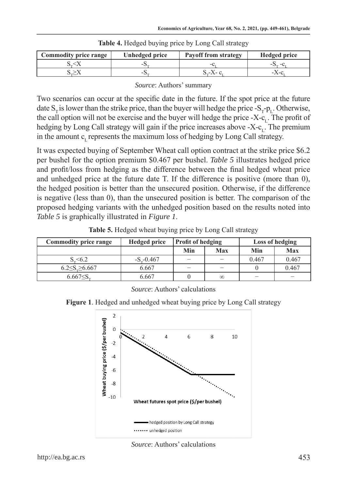| <b>Commodity price range</b> | Unhedged price | <b>Payoff from strategy</b> | <b>Hedged price</b> |
|------------------------------|----------------|-----------------------------|---------------------|
|                              |                |                             |                     |
|                              |                |                             |                     |

**Table 4.** Hedged buying price by Long Call strategy

*Source*: Authors' summary

Two scenarios can occur at the specific date in the future. If the spot price at the future date  $S_T$  is lower than the strike price, than the buyer will hedge the price  $-S_T p_L$ . Otherwise, the call option will not be exercise and the buyer will hedge the price -X-c<sub>r</sub>. The profit of hedging by Long Call strategy will gain if the price increases above -X- $c<sub>i</sub>$ . The premium in the amount  $c<sub>r</sub>$  represents the maximum loss of hedging by Long Call strategy.

It was expected buying of September Wheat call option contract at the strike price \$6.2 per bushel for the option premium \$0.467 per bushel. *Table 5* illustrates hedged price and profit/loss from hedging as the difference between the final hedged wheat price and unhedged price at the future date T. If the difference is positive (more than 0), the hedged position is better than the unsecured position. Otherwise, if the difference is negative (less than 0), than the unsecured position is better. The comparison of the proposed hedging variants with the unhedged position based on the results noted into *Table 5* is graphically illustrated in *Figure 1*.

| Table 5. Hedged wheat buying price by Long Call strategy |  |  |  |  |
|----------------------------------------------------------|--|--|--|--|
|----------------------------------------------------------|--|--|--|--|

| <b>Commodity price range</b> | <b>Hedged price</b> | <b>Profit of hedging</b> |                          | Loss of hedging          |            |
|------------------------------|---------------------|--------------------------|--------------------------|--------------------------|------------|
|                              |                     | Min                      | Max                      | Min                      | <b>Max</b> |
| $S_{-}$ <6.2                 | $-S_{0.467}$        | $\overline{\phantom{a}}$ | -                        | 0.467                    | 0.467      |
| $6.2 \le S \ge 6.667$        | 6.667               | -                        | $\overline{\phantom{a}}$ |                          | 0.467      |
| $6.667 \leq S$               | 6.667               |                          | $\infty$                 | $\overline{\phantom{a}}$ | -          |

*Source*: Authors' calculations

**Figure 1**. Hedged and unhedged wheat buying price by Long Call strategy



*Source*: Authors' calculations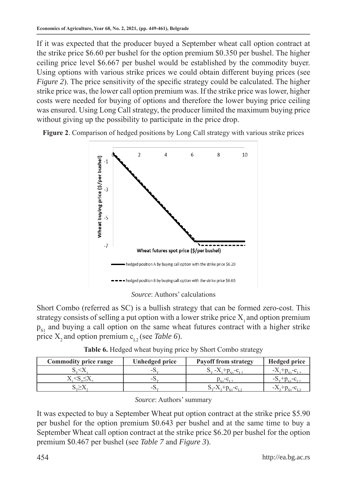If it was expected that the producer buyed a September wheat call option contract at the strike price \$6.60 per bushel for the option premium \$0.350 per bushel. The higher ceiling price level \$6.667 per bushel would be established by the commodity buyer. Using options with various strike prices we could obtain different buying prices (see *Figure 2*). The price sensitivity of the specific strategy could be calculated. The higher strike price was, the lower call option premium was. If the strike price was lower, higher costs were needed for buying of options and therefore the lower buying price ceiling was ensured. Using Long Call strategy, the producer limited the maximum buying price without giving up the possibility to participate in the price drop.





*Source*: Authors' calculations

Short Combo (referred as SC) is a bullish strategy that can be formed zero-cost. This strategy consists of selling a put option with a lower strike price  $X_1$  and option premium  $p_{s1}$  and buying a call option on the same wheat futures contract with a higher strike price X<sub>2</sub> and option premium  $c_{12}$  (see *Table 6*).

|  |  |  |  |  |  |  | Table 6. Hedged wheat buying price by Short Combo strategy |  |
|--|--|--|--|--|--|--|------------------------------------------------------------|--|
|--|--|--|--|--|--|--|------------------------------------------------------------|--|

| <b>Commodity price range</b> | Unhedged price | <b>Payoff from strategy</b>              | <b>Hedged price</b> |
|------------------------------|----------------|------------------------------------------|---------------------|
|                              | -5.            | $S_{\infty}$ -X, +p <sub>o</sub> , -c    |                     |
|                              | -5.            |                                          |                     |
|                              | -0.            | $+p_{c1} - c_{r1}$<br>$\Delta - \Lambda$ |                     |

| Source: Authors' summary |
|--------------------------|
|                          |

It was expected to buy a September Wheat put option contract at the strike price \$5.90 per bushel for the option premium \$0.643 per bushel and at the same time to buy a September Wheat call option contract at the strike price \$6.20 per bushel for the option premium \$0.467 per bushel (see *Table 7* and *Figure 3*).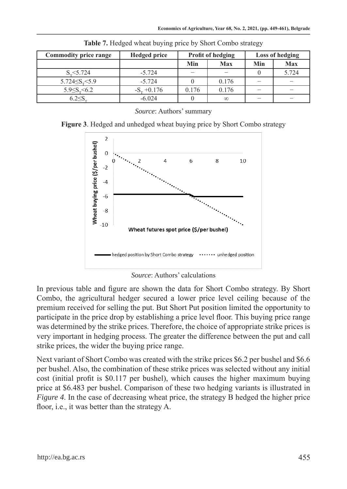| <b>Commodity price range</b> | <b>Hedged price</b> | <b>Profit of hedging</b> |            | <b>Loss of hedging</b> |       |
|------------------------------|---------------------|--------------------------|------------|------------------------|-------|
|                              |                     | Min                      | <b>Max</b> | Min                    | Max   |
| $S_{\infty}$ < 5.724         | $-5.724$            | -                        |            |                        | 5.724 |
| $5.724 \le S_r \le 5.9$      | $-5.724$            |                          | 0.176      |                        |       |
| $5.9 \le S_r \le 6.2$        | $-Sn +0.176$        | 0.176                    | 0.176      |                        |       |
| $6.2 \leq S$                 | $-6.024$            |                          | $\infty$   |                        |       |

**Table 7.** Hedged wheat buying price by Short Combo strategy

*Source*: Authors' summary

**Figure 3**. Hedged and unhedged wheat buying price by Short Combo strategy



*Source*: Authors' calculations

In previous table and figure are shown the data for Short Combo strategy. By Short Combo, the agricultural hedger secured a lower price level ceiling because of the premium received for selling the put. But Short Put position limited the opportunity to participate in the price drop by establishing a price level floor. This buying price range was determined by the strike prices. Therefore, the choice of appropriate strike prices is very important in hedging process. The greater the difference between the put and call strike prices, the wider the buying price range.

Next variant of Short Combo was created with the strike prices \$6.2 per bushel and \$6.6 per bushel. Also, the combination of these strike prices was selected without any initial cost (initial profit is \$0.117 per bushel), which causes the higher maximum buying price at \$6.483 per bushel. Comparison of these two hedging variants is illustrated in *Figure 4*. In the case of decreasing wheat price, the strategy B hedged the higher price floor, i.e., it was better than the strategy A.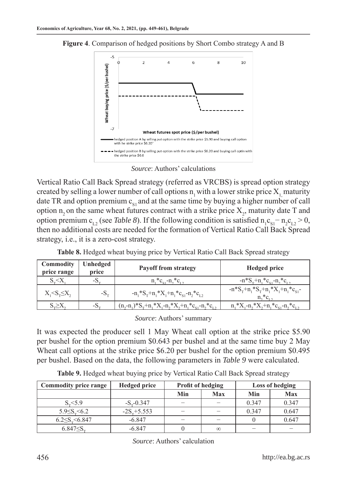

**Figure 4**. Comparison of hedged positions by Short Combo strategy A and B



Vertical Ratio Call Back Spread strategy (referred as VRCBS) is spread option strategy created by selling a lower number of call options  $n_1$  with a lower strike price  $X_1$ , maturity date TR and option premium  $c_{\rm st}$  and at the same time by buying a higher number of call option  $n_2$  on the same wheat futures contract with a strike price  $X_2$ , maturity date T and option premium  $c_{L2}$  (see *Table 8*). If the following condition is satisfied  $n_1c_{S1} - n_2c_{L2} > 0$ , then no additional costs are needed for the formation of Vertical Ratio Call Back Spread strategy, i.e., it is a zero-cost strategy.

| Commodity<br>price range      | Unhedged<br>price | <b>Payoff from strategy</b>                                                                | <b>Hedged price</b>                                                             |
|-------------------------------|-------------------|--------------------------------------------------------------------------------------------|---------------------------------------------------------------------------------|
| $S_{\infty} < X$              | $-S_{\infty}$     | $n^*c_{\alpha}$ - $n^*c_{\alpha}$                                                          | $-n*S_{\rm r}+n,*c_{\rm s}+n,*c_{\rm r}$                                        |
| $X_{1} < S_{\tau} \leq X_{2}$ | $-S_{\infty}$     | $-n_1*S_T+n_1*X_1+n_1*C_{S_1}-n_2*C_{S_2}$                                                 | $-n*S_{T}+n_{1}*S_{T}+n_{1}*X_{1}+n_{1}*c_{S1}$<br>$n^*c$ .                     |
| $S \geq X$                    | $-S_{-}$          | $(n,-n_1)^*S_{\tau}+n_1^*X_{\tau}-n_2^*X_{\tau}+n_1^*c_{\varsigma_1}-n_2^*c_{\varsigma_2}$ | $n_{1}$ * $X_{1}$ - $n_{2}$ * $X_{2}$ + $n_{1}$ * $c_{s1}$ - $n_{2}$ * $c_{r2}$ |

**Table 8.** Hedged wheat buying price by Vertical Ratio Call Back Spread strategy

*Source*: Authors' summary

It was expected the producer sell 1 May Wheat call option at the strike price \$5.90 per bushel for the option premium \$0.643 per bushel and at the same time buy 2 May Wheat call options at the strike price \$6.20 per bushel for the option premium \$0.495 per bushel. Based on the data, the following parameters in *Table 9* were calculated.

**Table 9.** Hedged wheat buying price by Vertical Ratio Call Back Spread strategy

| Commodity price range   | <b>Hedged price</b> | <b>Profit of hedging</b> |          | Loss of hedging |            |
|-------------------------|---------------------|--------------------------|----------|-----------------|------------|
|                         |                     | Min                      | Max      | Min             | <b>Max</b> |
| $S_{-}$ <5.9            | $-S_{n-}0.347$      |                          |          | 0.347           | 0.347      |
| $5.9 \le S_r \le 6.2$   | $-2S_{x}+5.553$     |                          |          | 0.347           | 0.647      |
| $6.2 \le S_r \le 6.847$ | $-6.847$            |                          |          |                 | 0.647      |
| $6.847 \le S$           | $-6.847$            |                          | $\infty$ |                 |            |

*Source*: Authors' calculation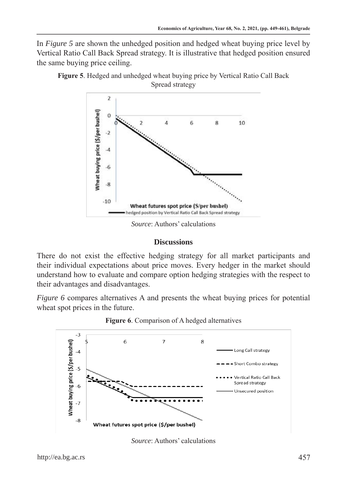In *Figure 5* are shown the unhedged position and hedged wheat buying price level by Vertical Ratio Call Back Spread strategy. It is illustrative that hedged position ensured the same buying price ceiling.



**Figure 5**. Hedged and unhedged wheat buying price by Vertical Ratio Call Back Spread strategy

*Source*: Authors' calculations

#### **Discussions**

There do not exist the effective hedging strategy for all market participants and their individual expectations about price moves. Every hedger in the market should understand how to evaluate and compare option hedging strategies with the respect to their advantages and disadvantages.

*Figure 6* compares alternatives A and presents the wheat buying prices for potential wheat spot prices in the future.



**Figure 6**. Comparison of A hedged alternatives

*Source*: Authors' calculations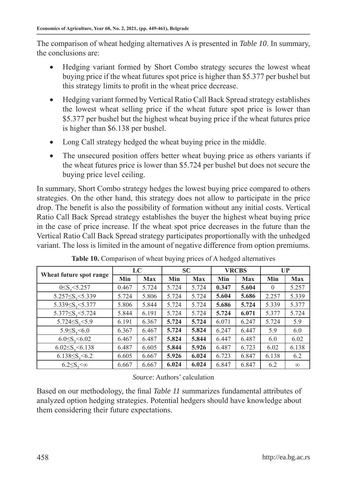The comparison of wheat hedging alternatives A is presented in *Table 10*. In summary, the conclusions are:

- Hedging variant formed by Short Combo strategy secures the lowest wheat buying price if the wheat futures spot price is higher than \$5.377 per bushel but this strategy limits to profit in the wheat price decrease.
- Hedging variant formed by Vertical Ratio Call Back Spread strategy establishes the lowest wheat selling price if the wheat future spot price is lower than \$5.377 per bushel but the highest wheat buying price if the wheat futures price is higher than \$6.138 per bushel.
- Long Call strategy hedged the wheat buying price in the middle.
- The unsecured position offers better wheat buying price as others variants if the wheat futures price is lower than \$5.724 per bushel but does not secure the buying price level ceiling.

In summary, Short Combo strategy hedges the lowest buying price compared to others strategies. On the other hand, this strategy does not allow to participate in the price drop. The benefit is also the possibility of formation without any initial costs. Vertical Ratio Call Back Spread strategy establishes the buyer the highest wheat buying price in the case of price increase. If the wheat spot price decreases in the future than the Vertical Ratio Call Back Spread strategy participates proportionally with the unhedged variant. The loss is limited in the amount of negative difference from option premiums.

| Wheat future spot range        | LC    |            | <b>SC</b> |            | <b>VRCBS</b> |            | $\mathbf{U}\mathbf{P}$ |            |
|--------------------------------|-------|------------|-----------|------------|--------------|------------|------------------------|------------|
|                                | Min   | <b>Max</b> | Min       | <b>Max</b> | Min          | <b>Max</b> | Min                    | <b>Max</b> |
| $0 \le S_{\rm g} \le 5.257$    | 0.467 | 5.724      | 5.724     | 5.724      | 0.347        | 5.604      | $\theta$               | 5.257      |
| 5.257 $\leq S_{\rm r}$ < 5.339 | 5.724 | 5.806      | 5.724     | 5.724      | 5.604        | 5.686      | 2.257                  | 5.339      |
| 5.339 $\leq S_{\rm r}$ < 5.377 | 5.806 | 5.844      | 5.724     | 5.724      | 5.686        | 5.724      | 5.339                  | 5.377      |
| 5.377 $\leq S_{\rm r}$ < 5.724 | 5.844 | 6.191      | 5.724     | 5.724      | 5.724        | 6.071      | 5.377                  | 5.724      |
| 5.724 $\leq S_{\rm r}$ < 5.9   | 6.191 | 6.367      | 5.724     | 5.724      | 6.071        | 6.247      | 5.724                  | 5.9        |
| $5.9 \le S_r \le 6.0$          | 6.367 | 6.467      | 5.724     | 5.824      | 6.247        | 6.447      | 5.9                    | 6.0        |
| $6.0 \le S_r \le 6.02$         | 6.467 | 6.487      | 5.824     | 5.844      | 6.447        | 6.487      | 6.0                    | 6.02       |
| $6.02 \le S_r \le 6.138$       | 6.487 | 6.605      | 5.844     | 5.926      | 6.487        | 6.723      | 6.02                   | 6.138      |
| $6.138 \le S_r \le 6.2$        | 6.605 | 6.667      | 5.926     | 6.024      | 6.723        | 6.847      | 6.138                  | 6.2        |
| $6.2 \le S_r < \infty$         | 6.667 | 6.667      | 6.024     | 6.024      | 6.847        | 6.847      | 6.2                    | $\infty$   |

**Table 10.** Comparison of wheat buying prices of A hedged alternatives

## *Source*: Authors' calculation

Based on our methodology, the final *Table 11* summarizes fundamental attributes of analyzed option hedging strategies. Potential hedgers should have knowledge about them considering their future expectations.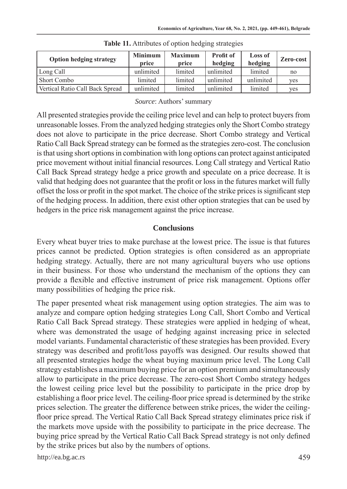| <b>Option hedging strategy</b>  | <b>Minimum</b><br>price | <b>Maximum</b><br>price | <b>Profit of</b><br>hedging | Loss of<br>hedging | Zero-cost |
|---------------------------------|-------------------------|-------------------------|-----------------------------|--------------------|-----------|
| Long Call                       | unlimited               | limited                 | unlimited                   | limited            | no        |
| Short Combo                     | limited                 | limited                 | unlimited                   | unlimited          | yes       |
| Vertical Ratio Call Back Spread | unlimited               | limited                 | unlimited                   | limited            | yes       |

**Table 11.** Attributes of option hedging strategies

#### *Source*: Authors' summary

All presented strategies provide the ceiling price level and can help to protect buyers from unreasonable losses. From the analyzed hedging strategies only the Short Combo strategy does not alove to participate in the price decrease. Short Combo strategy and Vertical Ratio Call Back Spread strategy can be formed as the strategies zero-cost. The conclusion is that using short options in combination with long options can protect against anticipated price movement without initial financial resources. Long Call strategy and Vertical Ratio Call Back Spread strategy hedge a price growth and speculate on a price decrease. It is valid that hedging does not guarantee that the profit or loss in the futures market will fully offset the loss or profit in the spot market. The choice of the strike prices is significant step of the hedging process. In addition, there exist other option strategies that can be used by hedgers in the price risk management against the price increase.

## **Conclusions**

Every wheat buyer tries to make purchase at the lowest price. The issue is that futures prices cannot be predicted. Option strategies is often considered as an appropriate hedging strategy. Actually, there are not many agricultural buyers who use options in their business. For those who understand the mechanism of the options they can provide a flexible and effective instrument of price risk management. Options offer many possibilities of hedging the price risk.

The paper presented wheat risk management using option strategies. The aim was to analyze and compare option hedging strategies Long Call, Short Combo and Vertical Ratio Call Back Spread strategy. These strategies were applied in hedging of wheat, where was demonstrated the usage of hedging against increasing price in selected model variants. Fundamental characteristic of these strategies has been provided. Every strategy was described and profit/loss payoffs was designed. Our results showed that all presented strategies hedge the wheat buying maximum price level. The Long Call strategy establishes a maximum buying price for an option premium and simultaneously allow to participate in the price decrease. The zero-cost Short Combo strategy hedges the lowest ceiling price level but the possibility to participate in the price drop by establishing a floor price level. The ceiling-floor price spread is determined by the strike prices selection. The greater the difference between strike prices, the wider the ceilingfloor price spread. The Vertical Ratio Call Back Spread strategy eliminates price risk if the markets move upside with the possibility to participate in the price decrease. The buying price spread by the Vertical Ratio Call Back Spread strategy is not only defined by the strike prices but also by the numbers of options.

http://ea.bg.ac.rs 459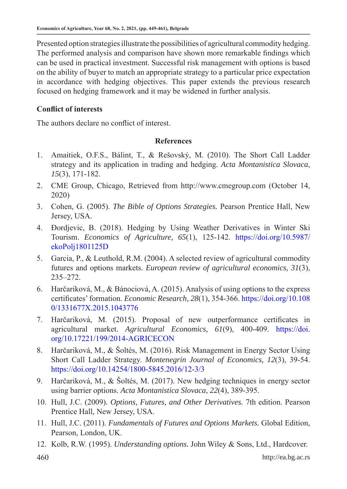Presented option strategies illustrate the possibilities of agricultural commodity hedging. The performed analysis and comparison have shown more remarkable findings which can be used in practical investment. Successful risk management with options is based on the ability of buyer to match an appropriate strategy to a particular price expectation in accordance with hedging objectives. This paper extends the previous research focused on hedging framework and it may be widened in further analysis.

# **Conflict of interests**

The authors declare no conflict of interest.

## **References**

- 1. Amaitiek, O.F.S., Bálint, T., & Rešovský, M. (2010). The Short Call Ladder strategy and its application in trading and hedging. *Acta Montanistica Slovaca*, *15*(3), 171-182.
- 2. CME Group, Chicago, Retrieved from http://www.cmegroup.com (October 14, 2020)
- 3. Cohen, G. (2005). *The Bible of Options Strategies.* Pearson Prentice Hall, New Jersey, USA.
- 4. Đordjevic, B. (2018). Hedging by Using Weather Derivatives in Winter Ski Tourism. *Economics of Agriculture, 65*(1), 125-142. https://doi.org/10.5987/ ekoPolj1801125D
- 5. Garcia, P., & Leuthold, R.M. (2004). A selected review of agricultural commodity futures and options markets. *European review of agricultural economics, 31*(3), 235–272.
- 6. Harčariková, M., & Bánociová, A. (2015). Analysis of using options to the express certificates' formation. *Economic Research, 28*(1), 354-366. https://doi.org/10.108 0/1331677X.2015.1043776
- 7. Harčariková, M. (2015). Proposal of new outperformance certificates in agricultural market. *Agricultural Economics, 61*(9), 400-409. https://doi. org/10.17221/199/2014-AGRICECON
- 8. Harčariková, M., & Šoltés, M. (2016). Risk Management in Energy Sector Using Short Call Ladder Strategy. *Montenegrin Journal of Economics, 12*(3), 39-54. https://doi.org/10.14254/1800-5845.2016/12-3/3
- 9. Harčariková, M., & Šoltés, M. (2017). New hedging techniques in energy sector using barrier options. *Acta Montanistica Slovaca, 22*(4), 389-395.
- 10. Hull, J.C. (2009). *Options, Futures, and Other Derivatives.* 7th edition. Pearson Prentice Hall, New Jersey, USA.
- 11. Hull, J.C. (2011). *Fundamentals of Futures and Options Markets.* Global Edition, Pearson, London, UK.
- 12. Kolb, R.W. (1995). *Understanding options.* John Wiley & Sons, Ltd., Hardcover.